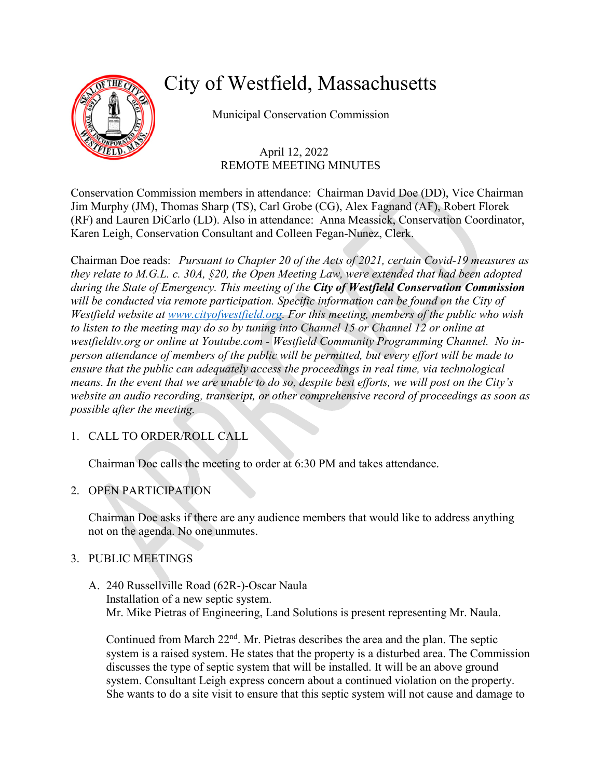

# City of Westfield, Massachusetts

Municipal Conservation Commission

# April 12, 2022 REMOTE MEETING MINUTES

Conservation Commission members in attendance: Chairman David Doe (DD), Vice Chairman Jim Murphy (JM), Thomas Sharp (TS), Carl Grobe (CG), Alex Fagnand (AF), Robert Florek (RF) and Lauren DiCarlo (LD). Also in attendance: Anna Meassick, Conservation Coordinator, Karen Leigh, Conservation Consultant and Colleen Fegan-Nunez, Clerk.

Chairman Doe reads: *Pursuant to Chapter 20 of the Acts of 2021, certain Covid-19 measures as they relate to M.G.L. c. 30A, §20, the Open Meeting Law, were extended that had been adopted during the State of Emergency. This meeting of the City of Westfield Conservation Commission will be conducted via remote participation. Specific information can be found on the City of Westfield website at [www.cityofwestfield.org.](http://www.cityofwestfield.org/) For this meeting, members of the public who wish to listen to the meeting may do so by tuning into Channel 15 or Channel 12 or online at westfieldtv.org or online at Youtube.com - Westfield Community Programming Channel. No inperson attendance of members of the public will be permitted, but every effort will be made to ensure that the public can adequately access the proceedings in real time, via technological means. In the event that we are unable to do so, despite best efforts, we will post on the City's website an audio recording, transcript, or other comprehensive record of proceedings as soon as possible after the meeting.* 

# 1. CALL TO ORDER/ROLL CALL

Chairman Doe calls the meeting to order at 6:30 PM and takes attendance.

## 2. OPEN PARTICIPATION

Chairman Doe asks if there are any audience members that would like to address anything not on the agenda. No one unmutes.

## 3. PUBLIC MEETINGS

A. 240 Russellville Road (62R-)-Oscar Naula Installation of a new septic system. Mr. Mike Pietras of Engineering, Land Solutions is present representing Mr. Naula.

Continued from March  $22<sup>nd</sup>$ . Mr. Pietras describes the area and the plan. The septic system is a raised system. He states that the property is a disturbed area. The Commission discusses the type of septic system that will be installed. It will be an above ground system. Consultant Leigh express concern about a continued violation on the property. She wants to do a site visit to ensure that this septic system will not cause and damage to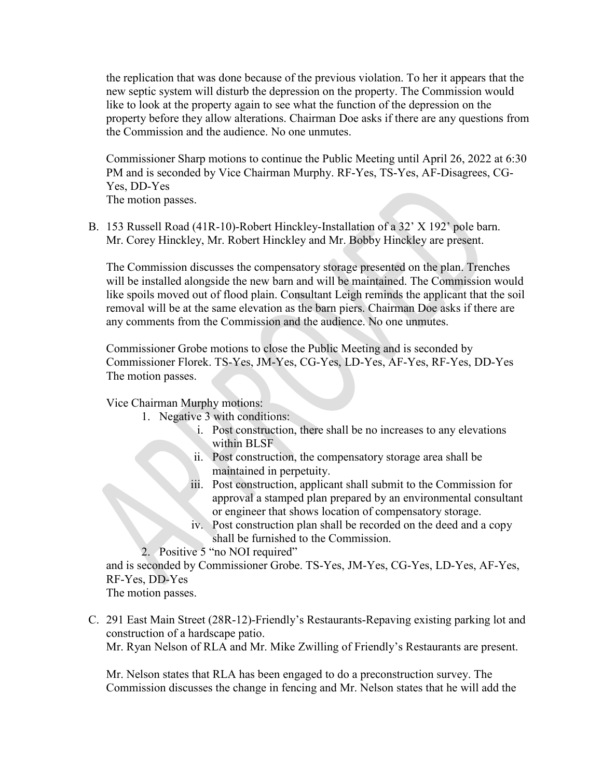the replication that was done because of the previous violation. To her it appears that the new septic system will disturb the depression on the property. The Commission would like to look at the property again to see what the function of the depression on the property before they allow alterations. Chairman Doe asks if there are any questions from the Commission and the audience. No one unmutes.

Commissioner Sharp motions to continue the Public Meeting until April 26, 2022 at 6:30 PM and is seconded by Vice Chairman Murphy. RF-Yes, TS-Yes, AF-Disagrees, CG-Yes, DD-Yes

The motion passes.

B. 153 Russell Road (41R-10)-Robert Hinckley-Installation of a 32' X 192' pole barn. Mr. Corey Hinckley, Mr. Robert Hinckley and Mr. Bobby Hinckley are present.

The Commission discusses the compensatory storage presented on the plan. Trenches will be installed alongside the new barn and will be maintained. The Commission would like spoils moved out of flood plain. Consultant Leigh reminds the applicant that the soil removal will be at the same elevation as the barn piers. Chairman Doe asks if there are any comments from the Commission and the audience. No one unmutes.

Commissioner Grobe motions to close the Public Meeting and is seconded by Commissioner Florek. TS-Yes, JM-Yes, CG-Yes, LD-Yes, AF-Yes, RF-Yes, DD-Yes The motion passes.

Vice Chairman Murphy motions:

- 1. Negative 3 with conditions:
	- i. Post construction, there shall be no increases to any elevations within BLSF
	- ii. Post construction, the compensatory storage area shall be maintained in perpetuity.
	- iii. Post construction, applicant shall submit to the Commission for approval a stamped plan prepared by an environmental consultant or engineer that shows location of compensatory storage.
	- iv. Post construction plan shall be recorded on the deed and a copy shall be furnished to the Commission.
- 2. Positive 5 "no NOI required"

and is seconded by Commissioner Grobe. TS-Yes, JM-Yes, CG-Yes, LD-Yes, AF-Yes, RF-Yes, DD-Yes

The motion passes.

C. 291 East Main Street (28R-12)-Friendly's Restaurants-Repaving existing parking lot and construction of a hardscape patio. Mr. Ryan Nelson of RLA and Mr. Mike Zwilling of Friendly's Restaurants are present.

Mr. Nelson states that RLA has been engaged to do a preconstruction survey. The Commission discusses the change in fencing and Mr. Nelson states that he will add the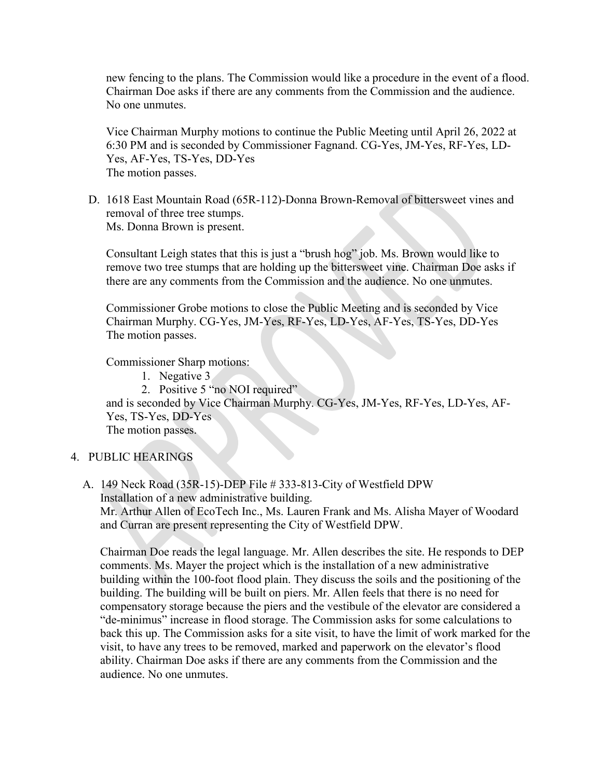new fencing to the plans. The Commission would like a procedure in the event of a flood. Chairman Doe asks if there are any comments from the Commission and the audience. No one unmutes.

Vice Chairman Murphy motions to continue the Public Meeting until April 26, 2022 at 6:30 PM and is seconded by Commissioner Fagnand. CG-Yes, JM-Yes, RF-Yes, LD-Yes, AF-Yes, TS-Yes, DD-Yes The motion passes.

D. 1618 East Mountain Road (65R-112)-Donna Brown-Removal of bittersweet vines and removal of three tree stumps. Ms. Donna Brown is present.

Consultant Leigh states that this is just a "brush hog" job. Ms. Brown would like to remove two tree stumps that are holding up the bittersweet vine. Chairman Doe asks if there are any comments from the Commission and the audience. No one unmutes.

Commissioner Grobe motions to close the Public Meeting and is seconded by Vice Chairman Murphy. CG-Yes, JM-Yes, RF-Yes, LD-Yes, AF-Yes, TS-Yes, DD-Yes The motion passes.

Commissioner Sharp motions:

1. Negative 3

2. Positive 5 "no NOI required"

and is seconded by Vice Chairman Murphy. CG-Yes, JM-Yes, RF-Yes, LD-Yes, AF-Yes, TS-Yes, DD-Yes

The motion passes.

#### 4. PUBLIC HEARINGS

A. 149 Neck Road (35R-15)-DEP File # 333-813-City of Westfield DPW Installation of a new administrative building. Mr. Arthur Allen of EcoTech Inc., Ms. Lauren Frank and Ms. Alisha Mayer of Woodard and Curran are present representing the City of Westfield DPW.

Chairman Doe reads the legal language. Mr. Allen describes the site. He responds to DEP comments. Ms. Mayer the project which is the installation of a new administrative building within the 100-foot flood plain. They discuss the soils and the positioning of the building. The building will be built on piers. Mr. Allen feels that there is no need for compensatory storage because the piers and the vestibule of the elevator are considered a "de-minimus" increase in flood storage. The Commission asks for some calculations to back this up. The Commission asks for a site visit, to have the limit of work marked for the visit, to have any trees to be removed, marked and paperwork on the elevator's flood ability. Chairman Doe asks if there are any comments from the Commission and the audience. No one unmutes.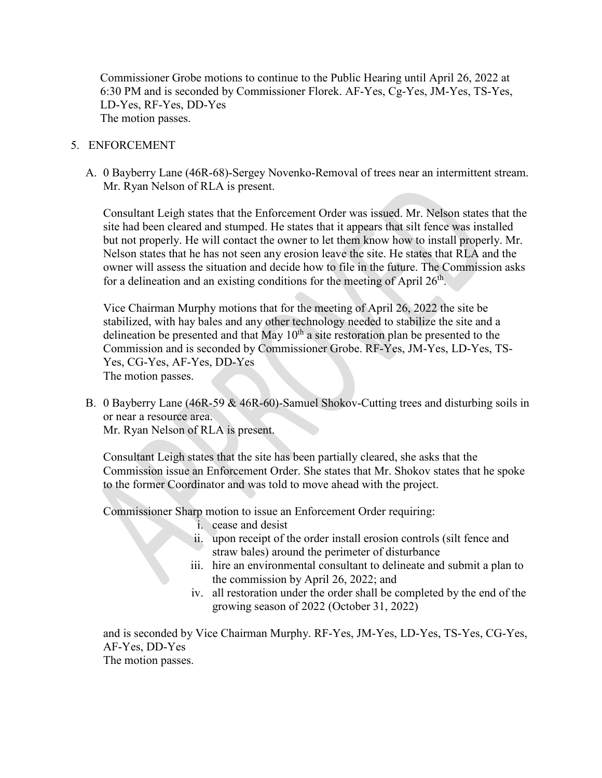Commissioner Grobe motions to continue to the Public Hearing until April 26, 2022 at 6:30 PM and is seconded by Commissioner Florek. AF-Yes, Cg-Yes, JM-Yes, TS-Yes, LD-Yes, RF-Yes, DD-Yes The motion passes.

#### 5. ENFORCEMENT

A. 0 Bayberry Lane (46R-68)-Sergey Novenko-Removal of trees near an intermittent stream. Mr. Ryan Nelson of RLA is present.

Consultant Leigh states that the Enforcement Order was issued. Mr. Nelson states that the site had been cleared and stumped. He states that it appears that silt fence was installed but not properly. He will contact the owner to let them know how to install properly. Mr. Nelson states that he has not seen any erosion leave the site. He states that RLA and the owner will assess the situation and decide how to file in the future. The Commission asks for a delineation and an existing conditions for the meeting of April  $26<sup>th</sup>$ .

Vice Chairman Murphy motions that for the meeting of April 26, 2022 the site be stabilized, with hay bales and any other technology needed to stabilize the site and a delineation be presented and that May  $10<sup>th</sup>$  a site restoration plan be presented to the Commission and is seconded by Commissioner Grobe. RF-Yes, JM-Yes, LD-Yes, TS-Yes, CG-Yes, AF-Yes, DD-Yes The motion passes.

B. 0 Bayberry Lane (46R-59 & 46R-60)-Samuel Shokov-Cutting trees and disturbing soils in or near a resource area.

Mr. Ryan Nelson of RLA is present.

Consultant Leigh states that the site has been partially cleared, she asks that the Commission issue an Enforcement Order. She states that Mr. Shokov states that he spoke to the former Coordinator and was told to move ahead with the project.

Commissioner Sharp motion to issue an Enforcement Order requiring:

- i. cease and desist
- ii. upon receipt of the order install erosion controls (silt fence and straw bales) around the perimeter of disturbance
- iii. hire an environmental consultant to delineate and submit a plan to the commission by April 26, 2022; and
- iv. all restoration under the order shall be completed by the end of the growing season of 2022 (October 31, 2022)

and is seconded by Vice Chairman Murphy. RF-Yes, JM-Yes, LD-Yes, TS-Yes, CG-Yes, AF-Yes, DD-Yes The motion passes.